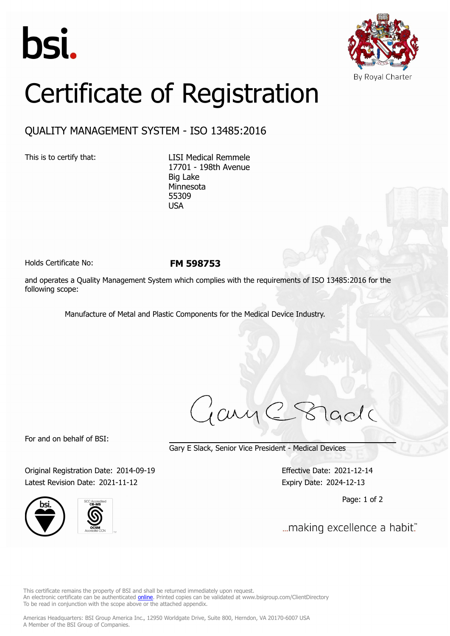



## Certificate of Registration

## QUALITY MANAGEMENT SYSTEM - ISO 13485:2016

This is to certify that: LISI Medical Remmele 17701 - 198th Avenue Big Lake Minnesota 55309 USA

Holds Certificate No: **FM 598753**

and operates a Quality Management System which complies with the requirements of ISO 13485:2016 for the following scope:

Manufacture of Metal and Plastic Components for the Medical Device Industry.

jary lade

For and on behalf of BSI:

Gary E Slack, Senior Vice President - Medical Devices

Original Registration Date: 2014-09-19 Effective Date: 2021-12-14 Latest Revision Date: 2021-11-12 Expiry Date: 2024-12-13





Page: 1 of 2

... making excellence a habit."

This certificate remains the property of BSI and shall be returned immediately upon request. An electronic certificate can be authenticated *[online](https://pgplus.bsigroup.com/CertificateValidation/CertificateValidator.aspx?CertificateNumber=FM+598753&ReIssueDate=12%2f11%2f2021&Template=inc)*. Printed copies can be validated at www.bsigroup.com/ClientDirectory To be read in conjunction with the scope above or the attached appendix.

Americas Headquarters: BSI Group America Inc., 12950 Worldgate Drive, Suite 800, Herndon, VA 20170-6007 USA A Member of the BSI Group of Companies.